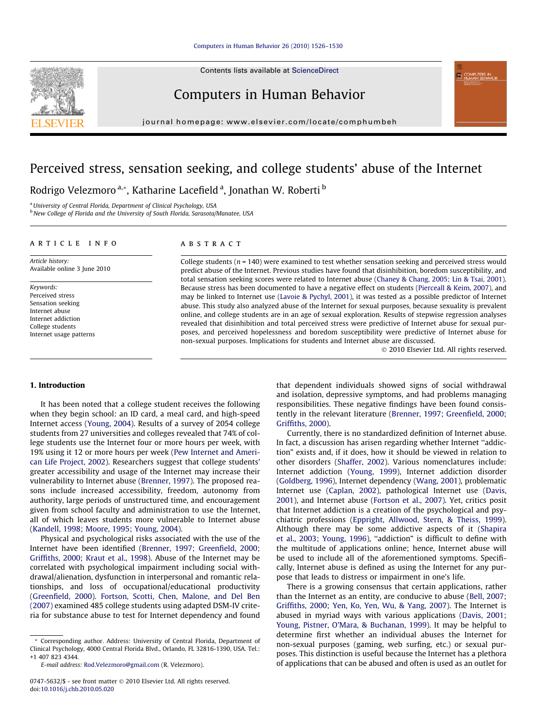Contents lists available at [ScienceDirect](http://www.sciencedirect.com/science/journal/07475632)

Computers in Human Behavior

journal homepage: [www.elsevier.com/locate/comphumbeh](http://www.elsevier.com/locate/comphumbeh)

## Perceived stress, sensation seeking, and college students' abuse of the Internet

Rodrigo Velezmoro<sup>a,</sup>\*, Katharine Lacefield<sup>a</sup>, Jonathan W. Roberti <sup>b</sup>

<sup>a</sup> University of Central Florida, Department of Clinical Psychology, USA b New College of Florida and the University of South Florida, Sarasota/Manatee, USA

#### article info

Article history: Available online 3 June 2010

Keywords: Perceived stress Sensation seeking Internet abuse Internet addiction College students Internet usage patterns

### **ABSTRACT**

College students ( $n = 140$ ) were examined to test whether sensation seeking and perceived stress would predict abuse of the Internet. Previous studies have found that disinhibition, boredom susceptibility, and total sensation seeking scores were related to Internet abuse [\(Chaney & Chang, 2005; Lin & Tsai, 2001](#page--1-0)). Because stress has been documented to have a negative effect on students [\(Pierceall & Keim, 2007](#page--1-0)), and may be linked to Internet use ([Lavoie & Pychyl, 2001\)](#page--1-0), it was tested as a possible predictor of Internet abuse. This study also analyzed abuse of the Internet for sexual purposes, because sexuality is prevalent online, and college students are in an age of sexual exploration. Results of stepwise regression analyses revealed that disinhibition and total perceived stress were predictive of Internet abuse for sexual purposes, and perceived hopelessness and boredom susceptibility were predictive of Internet abuse for non-sexual purposes. Implications for students and Internet abuse are discussed.

- 2010 Elsevier Ltd. All rights reserved.

#### 1. Introduction

It has been noted that a college student receives the following when they begin school: an ID card, a meal card, and high-speed Internet access [\(Young, 2004\)](#page--1-0). Results of a survey of 2054 college students from 27 universities and colleges revealed that 74% of college students use the Internet four or more hours per week, with 19% using it 12 or more hours per week ([Pew Internet and Ameri](#page--1-0)[can Life Project, 2002](#page--1-0)). Researchers suggest that college students' greater accessibility and usage of the Internet may increase their vulnerability to Internet abuse [\(Brenner, 1997](#page--1-0)). The proposed reasons include increased accessibility, freedom, autonomy from authority, large periods of unstructured time, and encouragement given from school faculty and administration to use the Internet, all of which leaves students more vulnerable to Internet abuse ([Kandell, 1998; Moore, 1995; Young, 2004](#page--1-0)).

Physical and psychological risks associated with the use of the Internet have been identified ([Brenner, 1997; Greenfield, 2000;](#page--1-0) [Griffiths, 2000; Kraut et al., 1998](#page--1-0)). Abuse of the Internet may be correlated with psychological impairment including social withdrawal/alienation, dysfunction in interpersonal and romantic relationships, and loss of occupational/educational productivity ([Greenfield, 2000](#page--1-0)). [Fortson, Scotti, Chen, Malone, and Del Ben](#page--1-0) [\(2007\)](#page--1-0) examined 485 college students using adapted DSM-IV criteria for substance abuse to test for Internet dependency and found

\* Corresponding author. Address: University of Central Florida, Department of Clinical Psychology, 4000 Central Florida Blvd., Orlando, FL 32816-1390, USA. Tel.: +1 407 823 4344.

E-mail address: [Rod.Velezmoro@gmail.com](mailto:Rod.Velezmoro@gmail.com) (R. Velezmoro).

that dependent individuals showed signs of social withdrawal and isolation, depressive symptoms, and had problems managing responsibilities. These negative findings have been found consistently in the relevant literature ([Brenner, 1997; Greenfield, 2000;](#page--1-0) [Griffiths, 2000](#page--1-0)).

Currently, there is no standardized definition of Internet abuse. In fact, a discussion has arisen regarding whether Internet ''addiction" exists and, if it does, how it should be viewed in relation to other disorders [\(Shaffer, 2002\)](#page--1-0). Various nomenclatures include: Internet addiction [\(Young, 1999](#page--1-0)), Internet addiction disorder ([Goldberg, 1996\)](#page--1-0), Internet dependency [\(Wang, 2001\)](#page--1-0), problematic Internet use ([Caplan, 2002\)](#page--1-0), pathological Internet use [\(Davis,](#page--1-0) [2001\)](#page--1-0), and Internet abuse ([Fortson et al., 2007](#page--1-0)). Yet, critics posit that Internet addiction is a creation of the psychological and psychiatric professions [\(Eppright, Allwood, Stern, & Theiss, 1999\)](#page--1-0). Although there may be some addictive aspects of it [\(Shapira](#page--1-0) [et al., 2003; Young, 1996](#page--1-0)), ''addiction" is difficult to define with the multitude of applications online; hence, Internet abuse will be used to include all of the aforementioned symptoms. Specifically, Internet abuse is defined as using the Internet for any purpose that leads to distress or impairment in one's life.

There is a growing consensus that certain applications, rather than the Internet as an entity, are conducive to abuse [\(Bell, 2007;](#page--1-0) [Griffiths, 2000; Yen, Ko, Yen, Wu, & Yang, 2007](#page--1-0)). The Internet is abused in myriad ways with various applications [\(Davis, 2001;](#page--1-0) [Young, Pistner, O'Mara, & Buchanan, 1999\)](#page--1-0). It may be helpful to determine first whether an individual abuses the Internet for non-sexual purposes (gaming, web surfing, etc.) or sexual purposes. This distinction is useful because the Internet has a plethora of applications that can be abused and often is used as an outlet for



<sup>0747-5632/\$ -</sup> see front matter © 2010 Elsevier Ltd. All rights reserved. doi:[10.1016/j.chb.2010.05.020](http://dx.doi.org/10.1016/j.chb.2010.05.020)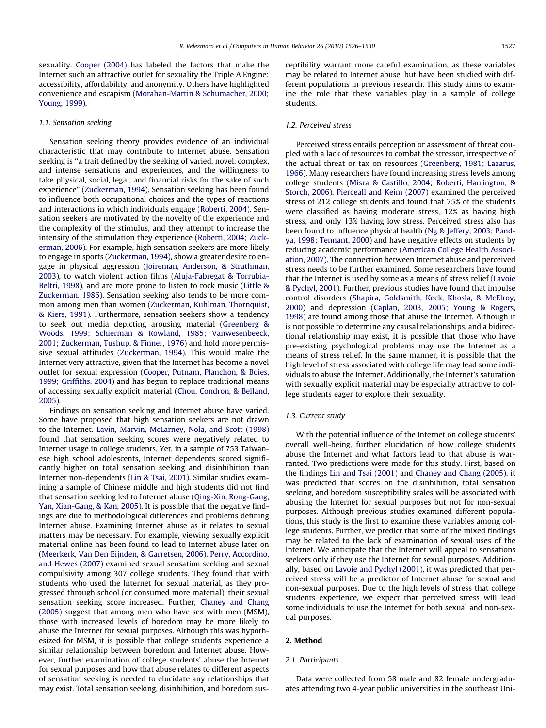sexuality. [Cooper \(2004\)](#page--1-0) has labeled the factors that make the Internet such an attractive outlet for sexuality the Triple A Engine: accessibility, affordability, and anonymity. Others have highlighted convenience and escapism [\(Morahan-Martin & Schumacher, 2000;](#page--1-0) [Young, 1999](#page--1-0)).

#### 1.1. Sensation seeking

Sensation seeking theory provides evidence of an individual characteristic that may contribute to Internet abuse. Sensation seeking is ''a trait defined by the seeking of varied, novel, complex, and intense sensations and experiences, and the willingness to take physical, social, legal, and financial risks for the sake of such experience" ([Zuckerman, 1994](#page--1-0)). Sensation seeking has been found to influence both occupational choices and the types of reactions and interactions in which individuals engage ([Roberti, 2004](#page--1-0)). Sensation seekers are motivated by the novelty of the experience and the complexity of the stimulus, and they attempt to increase the intensity of the stimulation they experience ([Roberti, 2004; Zuck](#page--1-0)[erman, 2006](#page--1-0)). For example, high sensation seekers are more likely to engage in sports ([Zuckerman, 1994](#page--1-0)), show a greater desire to engage in physical aggression [\(Joireman, Anderson, & Strathman,](#page--1-0) [2003](#page--1-0)), to watch violent action films ([Aluja-Fabregat & Torrubia-](#page--1-0)[Beltri, 1998\)](#page--1-0), and are more prone to listen to rock music ([Little &](#page--1-0) [Zuckerman, 1986\)](#page--1-0). Sensation seeking also tends to be more common among men than women ([Zuckerman, Kuhlman, Thornquist,](#page--1-0) [& Kiers, 1991](#page--1-0)). Furthermore, sensation seekers show a tendency to seek out media depicting arousing material [\(Greenberg &](#page--1-0) [Woods, 1999; Schierman & Rowland, 1985; Vanwesenbeeck,](#page--1-0) [2001; Zuckerman, Tushup, & Finner, 1976\)](#page--1-0) and hold more permissive sexual attitudes [\(Zuckerman, 1994\)](#page--1-0). This would make the Internet very attractive, given that the Internet has become a novel outlet for sexual expression ([Cooper, Putnam, Planchon, & Boies,](#page--1-0) [1999; Griffiths, 2004\)](#page--1-0) and has begun to replace traditional means of accessing sexually explicit material ([Chou, Condron, & Belland,](#page--1-0) [2005](#page--1-0)).

Findings on sensation seeking and Internet abuse have varied. Some have proposed that high sensation seekers are not drawn to the Internet. [Lavin, Marvin, McLarney, Nola, and Scott \(1998\)](#page--1-0) found that sensation seeking scores were negatively related to Internet usage in college students. Yet, in a sample of 753 Taiwanese high school adolescents, Internet dependents scored significantly higher on total sensation seeking and disinhibition than Internet non-dependents ([Lin & Tsai, 2001](#page--1-0)). Similar studies examining a sample of Chinese middle and high students did not find that sensation seeking led to Internet abuse [\(Qing-Xin, Rong-Gang,](#page--1-0) [Yan, Xian-Gang, & Kan, 2005](#page--1-0)). It is possible that the negative findings are due to methodological differences and problems defining Internet abuse. Examining Internet abuse as it relates to sexual matters may be necessary. For example, viewing sexually explicit material online has been found to lead to Internet abuse later on ([Meerkerk, Van Den Eijnden, & Garretsen, 2006\)](#page--1-0). [Perry, Accordino,](#page--1-0) [and Hewes \(2007\)](#page--1-0) examined sexual sensation seeking and sexual compulsivity among 307 college students. They found that with students who used the Internet for sexual material, as they progressed through school (or consumed more material), their sexual sensation seeking score increased. Further, [Chaney and Chang](#page--1-0) [\(2005\)](#page--1-0) suggest that among men who have sex with men (MSM), those with increased levels of boredom may be more likely to abuse the Internet for sexual purposes. Although this was hypothesized for MSM, it is possible that college students experience a similar relationship between boredom and Internet abuse. However, further examination of college students' abuse the Internet for sexual purposes and how that abuse relates to different aspects of sensation seeking is needed to elucidate any relationships that may exist. Total sensation seeking, disinhibition, and boredom susceptibility warrant more careful examination, as these variables may be related to Internet abuse, but have been studied with different populations in previous research. This study aims to examine the role that these variables play in a sample of college students.

#### 1.2. Perceived stress

Perceived stress entails perception or assessment of threat coupled with a lack of resources to combat the stressor, irrespective of the actual threat or tax on resources [\(Greenberg, 1981; Lazarus,](#page--1-0) [1966\)](#page--1-0). Many researchers have found increasing stress levels among college students [\(Misra & Castillo, 2004; Roberti, Harrington, &](#page--1-0) [Storch, 2006](#page--1-0)). [Pierceall and Keim \(2007\)](#page--1-0) examined the perceived stress of 212 college students and found that 75% of the students were classified as having moderate stress, 12% as having high stress, and only 13% having low stress. Perceived stress also has been found to influence physical health ([Ng & Jeffery, 2003; Pand](#page--1-0)[ya, 1998; Tennant, 2000\)](#page--1-0) and have negative effects on students by reducing academic performance [\(American College Health Associ](#page--1-0)[ation, 2007](#page--1-0)). The connection between Internet abuse and perceived stress needs to be further examined. Some researchers have found that the Internet is used by some as a means of stress relief [\(Lavoie](#page--1-0) [& Pychyl, 2001](#page--1-0)). Further, previous studies have found that impulse control disorders ([Shapira, Goldsmith, Keck, Khosla, & McElroy,](#page--1-0) [2000](#page--1-0)) and depression ([Caplan, 2003, 2005; Young & Rogers,](#page--1-0) [1998\)](#page--1-0) are found among those that abuse the Internet. Although it is not possible to determine any causal relationships, and a bidirectional relationship may exist, it is possible that those who have pre-existing psychological problems may use the Internet as a means of stress relief. In the same manner, it is possible that the high level of stress associated with college life may lead some individuals to abuse the Internet. Additionally, the Internet's saturation with sexually explicit material may be especially attractive to college students eager to explore their sexuality.

#### 1.3. Current study

With the potential influence of the Internet on college students' overall well-being, further elucidation of how college students abuse the Internet and what factors lead to that abuse is warranted. Two predictions were made for this study. First, based on the findings [Lin and Tsai \(2001\)](#page--1-0) and [Chaney and Chang \(2005\)](#page--1-0), it was predicted that scores on the disinhibition, total sensation seeking, and boredom susceptibility scales will be associated with abusing the Internet for sexual purposes but not for non-sexual purposes. Although previous studies examined different populations, this study is the first to examine these variables among college students. Further, we predict that some of the mixed findings may be related to the lack of examination of sexual uses of the Internet. We anticipate that the Internet will appeal to sensations seekers only if they use the Internet for sexual purposes. Additionally, based on [Lavoie and Pychyl \(2001\)](#page--1-0), it was predicted that perceived stress will be a predictor of Internet abuse for sexual and non-sexual purposes. Due to the high levels of stress that college students experience, we expect that perceived stress will lead some individuals to use the Internet for both sexual and non-sexual purposes.

#### 2. Method

#### 2.1. Participants

Data were collected from 58 male and 82 female undergraduates attending two 4-year public universities in the southeast Uni-